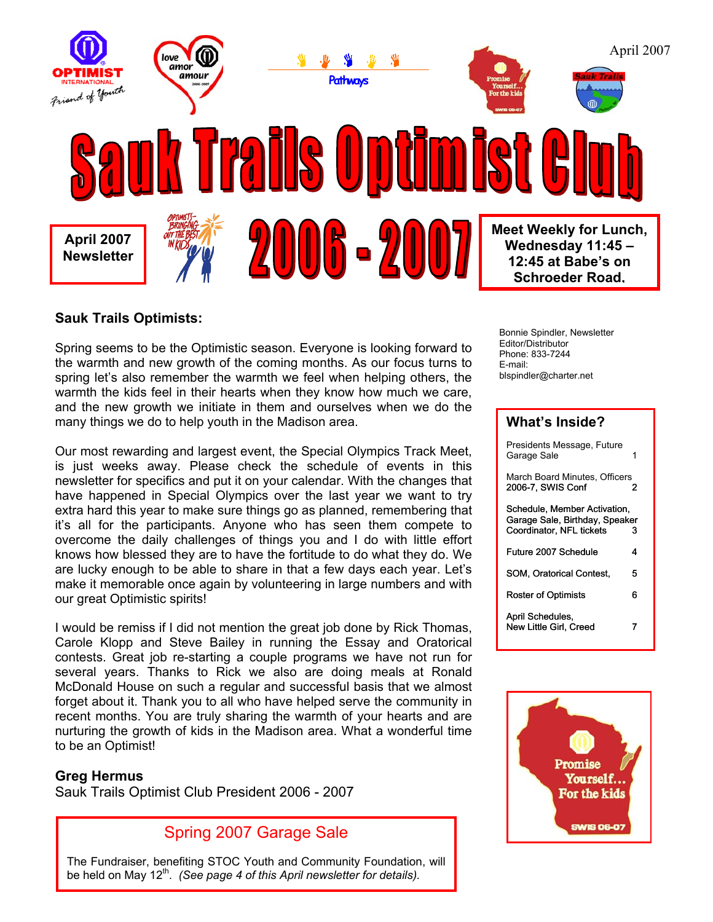

### **Sauk Trails Optimists:**

Spring seems to be the Optimistic season. Everyone is looking forward to the warmth and new growth of the coming months. As our focus turns to spring let's also remember the warmth we feel when helping others, the warmth the kids feel in their hearts when they know how much we care, and the new growth we initiate in them and ourselves when we do the many things we do to help youth in the Madison area.

Our most rewarding and largest event, the Special Olympics Track Meet, is just weeks away. Please check the schedule of events in this newsletter for specifics and put it on your calendar. With the changes that have happened in Special Olympics over the last year we want to try extra hard this year to make sure things go as planned, remembering that it's all for the participants. Anyone who has seen them compete to overcome the daily challenges of things you and I do with little effort knows how blessed they are to have the fortitude to do what they do. We are lucky enough to be able to share in that a few days each year. Let's make it memorable once again by volunteering in large numbers and with our great Optimistic spirits!

I would be remiss if I did not mention the great job done by Rick Thomas, Carole Klopp and Steve Bailey in running the Essay and Oratorical contests. Great job re-starting a couple programs we have not run for several years. Thanks to Rick we also are doing meals at Ronald McDonald House on such a regular and successful basis that we almost forget about it. Thank you to all who have helped serve the community in recent months. You are truly sharing the warmth of your hearts and are nurturing the growth of kids in the Madison area. What a wonderful time to be an Optimist!

### **Greg Hermus**

Sauk Trails Optimist Club President 2006 - 2007

# Spring 2007 Garage Sale

The Fundraiser, benefiting STOC Youth and Community Foundation, will be held on May 12<sup>th</sup>. *(See page 4 of this April newsletter for details).* 

Bonnie Spindler, Newsletter Editor/Distributor Phone: 833-7244 E-mail: blspindler@charter.net

#### **What's Inside?**

| Presidents Message, Future<br>Garage Sale                                                  |   |
|--------------------------------------------------------------------------------------------|---|
| March Board Minutes. Officers<br>2006-7, SWIS Conf                                         | 2 |
| Schedule, Member Activation,<br>Garage Sale, Birthday, Speaker<br>Coordinator, NFL tickets | 3 |
| Future 2007 Schedule                                                                       | 4 |
| <b>SOM. Oratorical Contest.</b>                                                            | 5 |
| Roster of Optimists                                                                        | 6 |
| April Schedules,<br>New Little Girl. Creed                                                 |   |

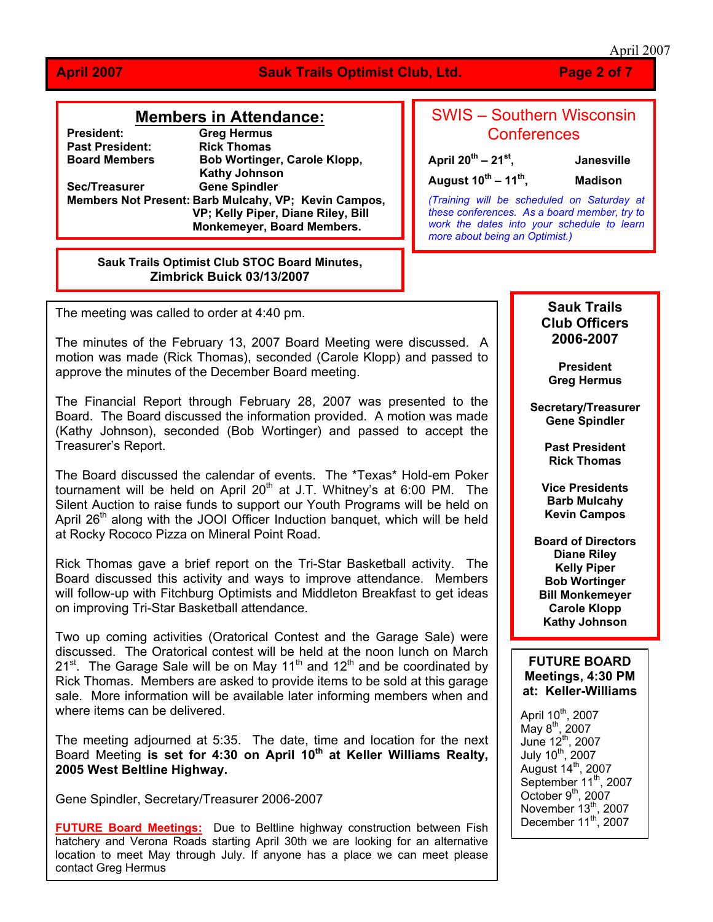#### April 2007

#### **April 2007 Sauk Trails Optimist Club, Ltd. Page 2 of 7**

#### **Members in Attendance:**

**President: Greg Hermus Past President:** Rick Thomas<br> **Board Members** Bob Wortinge **Bob Wortinger, Carole Klopp, Kathy Johnson Sec/Treasurer Gene Spindler Members Not Present: Barb Mulcahy, VP; Kevin Campos, VP; Kelly Piper, Diane Riley, Bill Monkemeyer, Board Members.** 

#### **Sauk Trails Optimist Club STOC Board Minutes, Zimbrick Buick 03/13/2007**

# SWIS – Southern Wisconsin **Conferences**

**April 20th – 21st, Janesville August 10th – 11th, Madison**

*(Training will be scheduled on Saturday at these conferences. As a board member, try to work the dates into your schedule to learn more about being an Optimist.)*

The meeting was called to order at 4:40 pm.

The minutes of the February 13, 2007 Board Meeting were discussed. A motion was made (Rick Thomas), seconded (Carole Klopp) and passed to approve the minutes of the December Board meeting.

The Financial Report through February 28, 2007 was presented to the Board. The Board discussed the information provided. A motion was made (Kathy Johnson), seconded (Bob Wortinger) and passed to accept the Treasurer's Report.

The Board discussed the calendar of events. The \*Texas\* Hold-em Poker tournament will be held on April  $20<sup>th</sup>$  at J.T. Whitney's at 6:00 PM. The Silent Auction to raise funds to support our Youth Programs will be held on April 26<sup>th</sup> along with the JOOI Officer Induction banquet, which will be held at Rocky Rococo Pizza on Mineral Point Road.

Rick Thomas gave a brief report on the Tri-Star Basketball activity. The Board discussed this activity and ways to improve attendance. Members will follow-up with Fitchburg Optimists and Middleton Breakfast to get ideas on improving Tri-Star Basketball attendance.

Two up coming activities (Oratorical Contest and the Garage Sale) were discussed. The Oratorical contest will be held at the noon lunch on March  $21^{st}$ . The Garage Sale will be on May 11<sup>th</sup> and 12<sup>th</sup> and be coordinated by Rick Thomas. Members are asked to provide items to be sold at this garage sale. More information will be available later informing members when and where items can be delivered.

The meeting adjourned at 5:35. The date, time and location for the next Board Meeting **is set for 4:30 on April 10th at Keller Williams Realty, 2005 West Beltline Highway.** 

Gene Spindler, Secretary/Treasurer 2006-2007

**FUTURE Board Meetings:** Due to Beltline highway construction between Fish hatchery and Verona Roads starting April 30th we are looking for an alternative location to meet May through July. If anyone has a place we can meet please contact Greg Hermus

#### **Sauk Trails Club Officers 2006-2007**

**President Greg Hermus**

**Secretary/Treasurer Gene Spindler** 

> **Past President Rick Thomas**

**Vice Presidents Barb Mulcahy Kevin Campos** 

**Board of Directors Diane Riley Kelly Piper Bob Wortinger Bill Monkemeyer Carole Klopp Kathy Johnson** 

#### **FUTURE BOARD Meetings, 4:30 PM at: Keller-Williams**

April  $10^{th}$ , 2007  $M$ ay 8<sup>th</sup>, 2007 June  $12^{\text{th}}$ , 2007 July 10<sup>th</sup>, 2007 August  $14^{\text{th}}$ , 2007 September 11<sup>th</sup>, 2007 October  $9<sup>th</sup>$ , 2007 November  $13^{th}$ , 2007 December  $11^{th}$ , 2007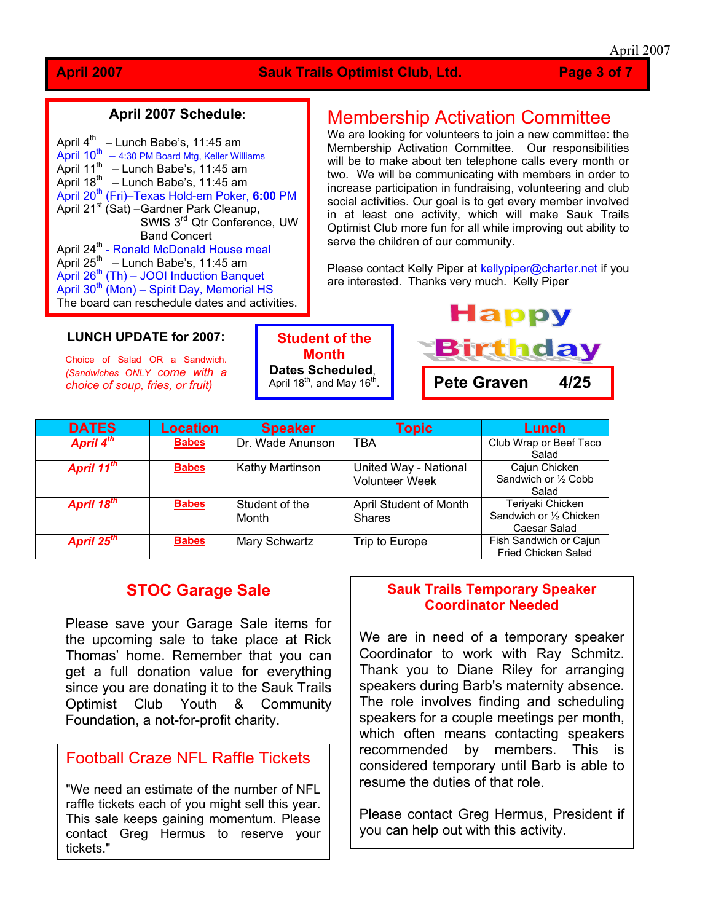#### **April 2007 Schedule**:

| April 4 <sup>th</sup><br>- Lunch Babe's, 11:45 am         |
|-----------------------------------------------------------|
| April $10^{th} - 4:30$ PM Board Mtg, Keller Williams      |
| April $11^{th}$ – Lunch Babe's, 11:45 am                  |
| April $18^{th}$ – Lunch Babe's, 11:45 am                  |
| April 20 <sup>th</sup> (Fri)-Texas Hold-em Poker, 6:00 PM |
| April 21 <sup>st</sup> (Sat) - Gardner Park Cleanup,      |
| SWIS 3rd Qtr Conference, UW                               |
| <b>Band Concert</b>                                       |
| April 24 <sup>th</sup> - Ronald McDonald House meal       |
| April 25 <sup>th</sup> - Lunch Babe's, 11:45 am           |
| April 26 <sup>th</sup> (Th) - JOOI Induction Banquet      |
| April 30 <sup>th</sup> (Mon) – Spirit Day, Memorial HS    |
| The board can reschedule dates and activities.            |

# Membership Activation Committee

We are looking for volunteers to join a new committee: the Membership Activation Committee. Our responsibilities will be to make about ten telephone calls every month or two. We will be communicating with members in order to increase participation in fundraising, volunteering and club social activities. Our goal is to get every member involved in at least one activity, which will make Sauk Trails Optimist Club more fun for all while improving out ability to serve the children of our community.

Please contact Kelly Piper at [kellypiper@charter.net](mailto:kellypiper@charter.net) if you are interested. Thanks very much. Kelly Piper

#### **LUNCH UPDATE for 2007:**

Choice of Salad OR a Sandwich. *(Sandwiches ONLY come with a choice of soup, fries, or fruit)* 

**Student of the Month Dates Scheduled**, April 18<sup>th</sup>, and May 16<sup>th</sup>.



| <b>DATES</b>           | <b>Location</b> | <b>Speaker</b>          | <b>Topic</b>                                   | <b>Lunch</b>                                                |
|------------------------|-----------------|-------------------------|------------------------------------------------|-------------------------------------------------------------|
| April 4 <sup>th</sup>  | <b>Babes</b>    | Dr. Wade Anunson        | <b>TBA</b>                                     | Club Wrap or Beef Taco<br>Salad                             |
| April 11 <sup>th</sup> | <b>Babes</b>    | Kathy Martinson         | United Way - National<br><b>Volunteer Week</b> | Cajun Chicken<br>Sandwich or 1/2 Cobb<br>Salad              |
| April 18 <sup>th</sup> | <b>Babes</b>    | Student of the<br>Month | April Student of Month<br><b>Shares</b>        | Teriyaki Chicken<br>Sandwich or 1/2 Chicken<br>Caesar Salad |
| April 25 <sup>th</sup> | <b>Babes</b>    | Mary Schwartz           | Trip to Europe                                 | Fish Sandwich or Cajun<br><b>Fried Chicken Salad</b>        |

## **STOC Garage Sale**

Please save your Garage Sale items for the upcoming sale to take place at Rick Thomas' home. Remember that you can get a full donation value for everything since you are donating it to the Sauk Trails Optimist Club Youth & Community Foundation, a not-for-profit charity.

## Football Craze NFL Raffle Tickets

"We need an estimate of the number of NFL raffle tickets each of you might sell this year. This sale keeps gaining momentum. Please contact Greg Hermus to reserve your tickets."

### **Sauk Trails Temporary Speaker Coordinator Needed**

We are in need of a temporary speaker Coordinator to work with Ray Schmitz. Thank you to Diane Riley for arranging speakers during Barb's maternity absence. The role involves finding and scheduling speakers for a couple meetings per month, which often means contacting speakers recommended by members. This is considered temporary until Barb is able to resume the duties of that role.

Please contact Greg Hermus, President if you can help out with this activity.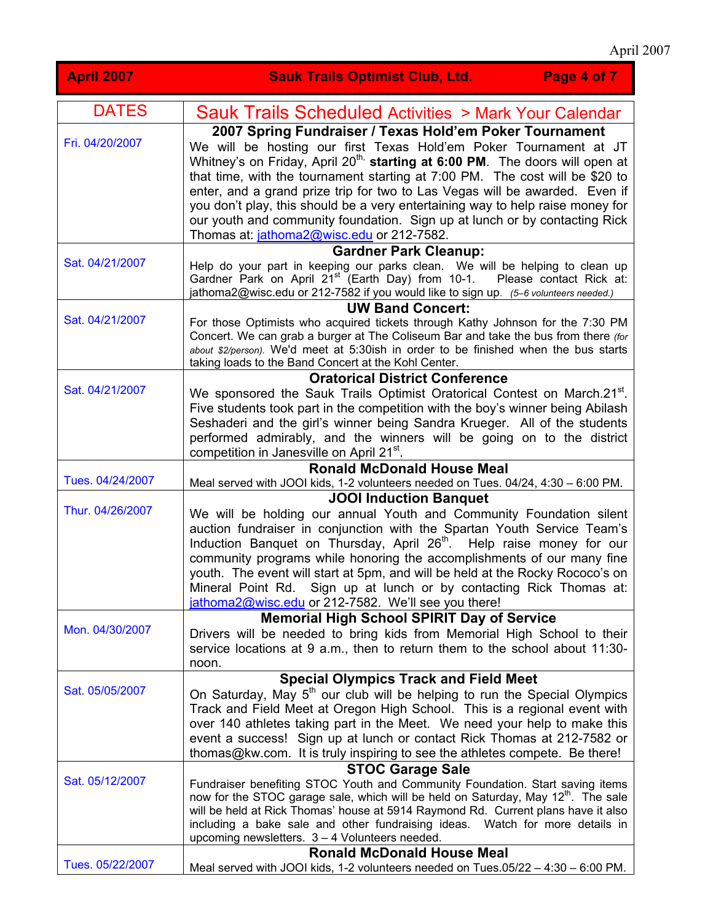| <b>April 2007</b> | Page 4 of 7<br><b>Sauk Trails Optimist Club, Ltd.</b>                                                                                                                                                                                                                                                                                                                                                                                                                                                                                                                                                |
|-------------------|------------------------------------------------------------------------------------------------------------------------------------------------------------------------------------------------------------------------------------------------------------------------------------------------------------------------------------------------------------------------------------------------------------------------------------------------------------------------------------------------------------------------------------------------------------------------------------------------------|
| <b>DATES</b>      | Sauk Trails Scheduled Activities > Mark Your Calendar                                                                                                                                                                                                                                                                                                                                                                                                                                                                                                                                                |
| Fri. 04/20/2007   | 2007 Spring Fundraiser / Texas Hold'em Poker Tournament<br>We will be hosting our first Texas Hold'em Poker Tournament at JT<br>Whitney's on Friday, April 20 <sup>th,</sup> starting at 6:00 PM. The doors will open at<br>that time, with the tournament starting at 7:00 PM. The cost will be \$20 to<br>enter, and a grand prize trip for two to Las Vegas will be awarded. Even if<br>you don't play, this should be a very entertaining way to help raise money for<br>our youth and community foundation. Sign up at lunch or by contacting Rick<br>Thomas at: jathoma2@wisc.edu or 212-7582. |
| Sat. 04/21/2007   | <b>Gardner Park Cleanup:</b><br>Help do your part in keeping our parks clean. We will be helping to clean up<br>Gardner Park on April 21 <sup>st</sup> (Earth Day) from 10-1.<br>Please contact Rick at:<br>jathoma2@wisc.edu or 212-7582 if you would like to sign up. (5-6 volunteers needed.)                                                                                                                                                                                                                                                                                                     |
| Sat. 04/21/2007   | <b>UW Band Concert:</b><br>For those Optimists who acquired tickets through Kathy Johnson for the 7:30 PM<br>Concert. We can grab a burger at The Coliseum Bar and take the bus from there <i>(for</i><br>about \$2/person). We'd meet at 5:30ish in order to be finished when the bus starts<br>taking loads to the Band Concert at the Kohl Center.                                                                                                                                                                                                                                                |
| Sat. 04/21/2007   | <b>Oratorical District Conference</b><br>We sponsored the Sauk Trails Optimist Oratorical Contest on March.21 <sup>st</sup> .<br>Five students took part in the competition with the boy's winner being Abilash<br>Seshaderi and the girl's winner being Sandra Krueger. All of the students<br>performed admirably, and the winners will be going on to the district<br>competition in Janesville on April 21 <sup>st</sup> .                                                                                                                                                                       |
| Tues. 04/24/2007  | <b>Ronald McDonald House Meal</b><br>Meal served with JOOI kids, 1-2 volunteers needed on Tues. 04/24, 4:30 - 6:00 PM.                                                                                                                                                                                                                                                                                                                                                                                                                                                                               |
| Thur. 04/26/2007  | <b>JOOI Induction Banquet</b><br>We will be holding our annual Youth and Community Foundation silent<br>auction fundraiser in conjunction with the Spartan Youth Service Team's<br>Induction Banquet on Thursday, April 26 <sup>th</sup> . Help raise money for our<br>community programs while honoring the accomplishments of our many fine<br>youth. The event will start at 5pm, and will be held at the Rocky Rococo's on<br>Mineral Point Rd. Sign up at lunch or by contacting Rick Thomas at:<br>jathoma2@wisc.edu or 212-7582. We'll see you there!                                         |
| Mon. 04/30/2007   | <b>Memorial High School SPIRIT Day of Service</b><br>Drivers will be needed to bring kids from Memorial High School to their<br>service locations at 9 a.m., then to return them to the school about 11:30-<br>noon.                                                                                                                                                                                                                                                                                                                                                                                 |
| Sat. 05/05/2007   | <b>Special Olympics Track and Field Meet</b><br>On Saturday, May 5 <sup>th</sup> our club will be helping to run the Special Olympics<br>Track and Field Meet at Oregon High School. This is a regional event with<br>over 140 athletes taking part in the Meet. We need your help to make this<br>event a success! Sign up at lunch or contact Rick Thomas at 212-7582 or<br>thomas@kw.com. It is truly inspiring to see the athletes compete. Be there!                                                                                                                                            |
| Sat. 05/12/2007   | <b>STOC Garage Sale</b><br>Fundraiser benefiting STOC Youth and Community Foundation. Start saving items<br>now for the STOC garage sale, which will be held on Saturday, May 12 <sup>th</sup> . The sale<br>will be held at Rick Thomas' house at 5914 Raymond Rd. Current plans have it also<br>including a bake sale and other fundraising ideas. Watch for more details in<br>upcoming newsletters. 3 - 4 Volunteers needed.                                                                                                                                                                     |
| Tues. 05/22/2007  | <b>Ronald McDonald House Meal</b><br>Meal served with JOOI kids, 1-2 volunteers needed on Tues.05/22 - 4:30 - 6:00 PM.                                                                                                                                                                                                                                                                                                                                                                                                                                                                               |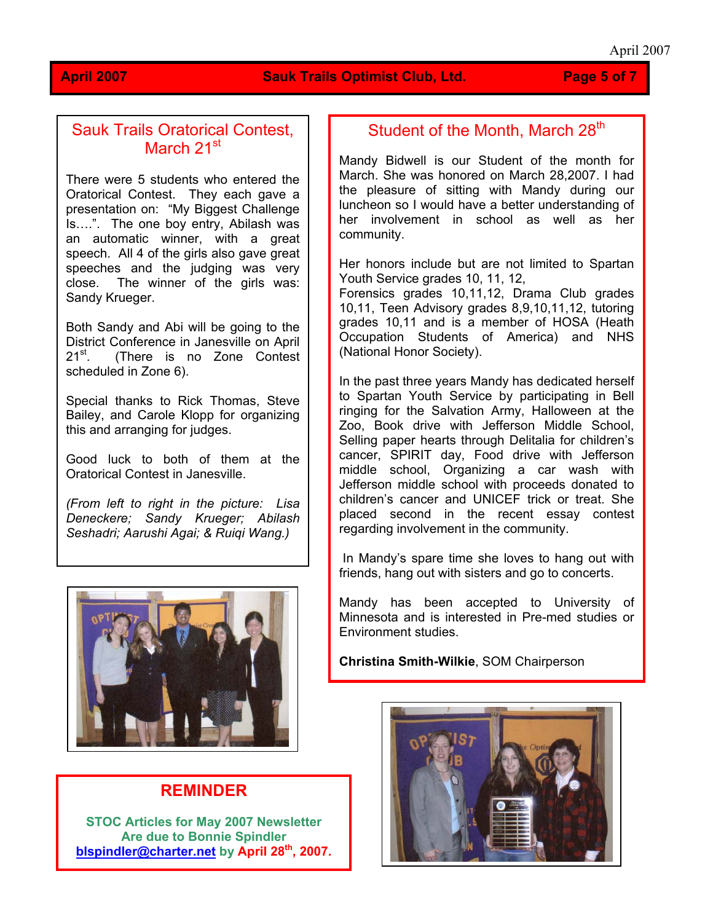#### **April 2007 Sauk Trails Optimist Club, Ltd. Page 5 of 7**

## Sauk Trails Oratorical Contest, March 21<sup>st</sup>

There were 5 students who entered the Oratorical Contest. They each gave a presentation on: "My Biggest Challenge Is….". The one boy entry, Abilash was an automatic winner, with a great speech. All 4 of the girls also gave great speeches and the judging was very close. The winner of the girls was: Sandy Krueger.

Both Sandy and Abi will be going to the District Conference in Janesville on April<br>21<sup>st</sup> (There is no Zone Contest (There is no Zone Contest scheduled in Zone 6).

Special thanks to Rick Thomas, Steve Bailey, and Carole Klopp for organizing this and arranging for judges.

Good luck to both of them at the Oratorical Contest in Janesville.

*(From left to right in the picture: Lisa Deneckere; Sandy Krueger; Abilash Seshadri; Aarushi Agai; & Ruiqi Wang.)* 



## **REMINDER**

**STOC Articles for May 2007 Newsletter Are due to Bonnie Spindler [blspindler@charter.net](mailto:blspindler@charter.net) by April 28th, 2007.**

# Student of the Month, March 28<sup>th</sup>

Mandy Bidwell is our Student of the month for March. She was honored on March 28,2007. I had the pleasure of sitting with Mandy during our luncheon so I would have a better understanding of her involvement in school as well as her community.

Her honors include but are not limited to Spartan Youth Service grades 10, 11, 12,

Occupation Students of America) and NHS National Honor Society). ( Forensics grades 10,11,12, Drama Club grades 10,11, Teen Advisory grades 8,9,10,11,12, tutoring grades 10,11 and is a member of HOSA (Heath

In the past three years Mandy has dedicated herself to Spartan Youth Service by participating in Bell ringing for the Salvation Army, Halloween at the Zoo, Book drive with Jefferson Middle School, Selling paper hearts through Delitalia for children's cancer, SPIRIT day, Food drive with Jefferson middle school, Organizing a car wash with Jefferson middle school with proceeds donated to children's cancer and UNICEF trick or treat. She placed second in the rece nt essay contest regarding involvement in the community.

In Mandy's spare time she loves to hang out with friends, hang out with sisters and go to concerts.

Mandy has been accepted to University of Minnesota and is interested in Pre-med studies or Environment studies.

**Christina Smith-Wilkie**, SOM Chairperson

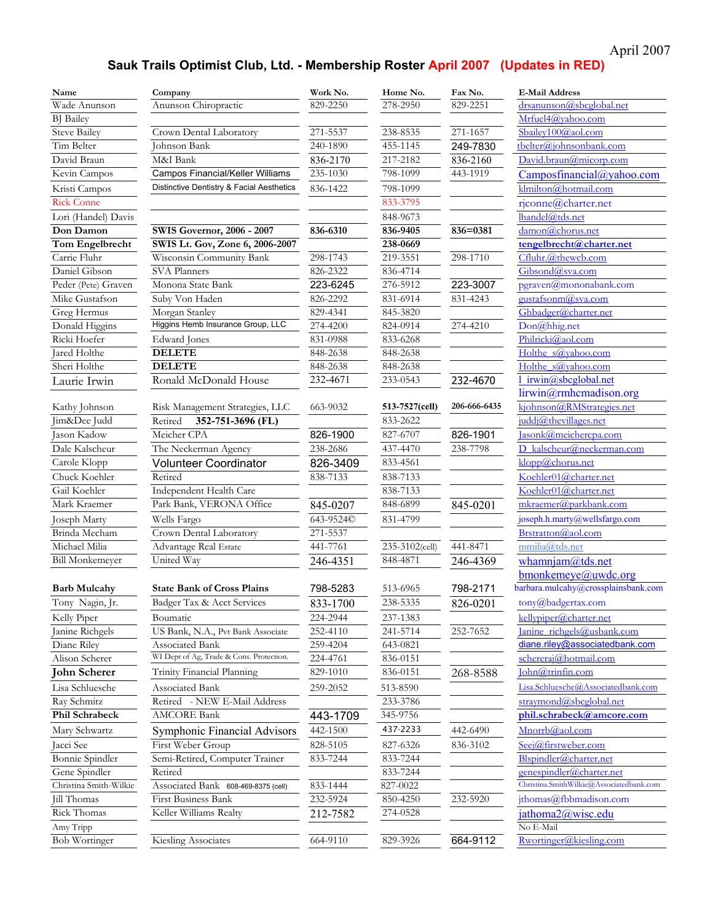# April 2007

# **Sauk Trails Optimist Club, Ltd. - Membership Roster April 2007 (Updates in RED)**

| Name                   | Company                                   | Work No.  | Home No.       | Fax No.      | <b>E-Mail Address</b>                             |
|------------------------|-------------------------------------------|-----------|----------------|--------------|---------------------------------------------------|
| Wade Anunson           | Anunson Chiropractic                      | 829-2250  | 278-2950       | 829-2251     | drsanunson@sbcglobal.net                          |
| <b>BJ</b> Bailey       |                                           |           |                |              | Mrfuel4@vahoo.com                                 |
| Steve Bailey           | Crown Dental Laboratory                   | 271-5537  | 238-8535       | 271-1657     | Sbailey100@aol.com                                |
| Tim Belter             | Johnson Bank                              | 240-1890  | 455-1145       | 249-7830     | tbelter@johnsonbank.com                           |
| David Braun            | M&I Bank                                  | 836-2170  | 217-2182       | 836-2160     | David.braun@micorp.com                            |
| Kevin Campos           | Campos Financial/Keller Williams          | 235-1030  | 798-1099       | 443-1919     | Camposfinancial@yahoo.com                         |
| Kristi Campos          | Distinctive Dentistry & Facial Aesthetics | 836-1422  | 798-1099       |              | klmilton@hotmail.com                              |
| <b>Rick Conne</b>      |                                           |           | 833-3795       |              | rjconne@charter.net                               |
| Lori (Handel) Davis    |                                           |           | 848-9673       |              | lhandel@tds.net                                   |
| Don Damon              | <b>SWIS Governor, 2006 - 2007</b>         | 836-6310  | 836-9405       | $836 = 0381$ | damon@chorus.net                                  |
| Tom Engelbrecht        | SWIS Lt. Gov, Zone 6, 2006-2007           |           | 238-0669       |              | tengelbrecht@charter.net                          |
| Carrie Fluhr           | Wisconsin Community Bank                  | 298-1743  | 219-3551       | 298-1710     | Cfluhr.@thewcb.com                                |
| Daniel Gibson          | SVA Planners                              | 826-2322  | 836-4714       |              | Gibsond@sva.com                                   |
| Peder (Pete) Graven    | Monona State Bank                         | 223-6245  | 276-5912       | 223-3007     | pgraven(a) mononabank.com                         |
| Mike Gustafson         | Suby Von Haden                            | 826-2292  | 831-6914       | 831-4243     | gustafsonm@sva.com                                |
| Greg Hermus            | Morgan Stanley                            | 829-4341  | 845-3820       |              | Ghbadger@charter.net                              |
| Donald Higgins         | Higgins Hemb Insurance Group, LLC         | 274-4200  | 824-0914       | 274-4210     | Don@hhig.net                                      |
| Ricki Hoefer           | Edward Jones                              | 831-0988  | 833-6268       |              | Philricki@aol.com                                 |
| Jared Holthe           | <b>DELETE</b>                             | 848-2638  | 848-2638       |              | Holthe s@yahoo.com                                |
| Sheri Holthe           | <b>DELETE</b>                             | 848-2638  | 848-2638       |              | Holthe s@vahoo.com                                |
| Laurie Irwin           | Ronald McDonald House                     | 232-4671  | 233-0543       | 232-4670     | l irwin@sbcglobal.net                             |
|                        |                                           |           |                |              | lirwin@rmhcmadison.org                            |
| Kathy Johnson          | Risk Management Strategies, LLC           | 663-9032  | 513-7527(cell) | 206-666-6435 | kjohnson@RMStrategies.net                         |
| Jim&Dee Judd           | Retired<br>352-751-3696 (FL)              |           | 833-2622       |              | juddj@thevillages.net                             |
| Jason Kadow            | Meicher CPA                               | 826-1900  | 827-6707       | 826-1901     | Jasonk@meichercpa.com                             |
| Dale Kalscheur         | The Neckerman Agency                      | 238-2686  | 437-4470       | 238-7798     | D kalscheur@neckerman.com                         |
| Carole Klopp           | <b>Volunteer Coordinator</b>              | 826-3409  | 833-4561       |              | klopp@chorus.net                                  |
| Chuck Koehler          | Retired                                   | 838-7133  | 838-7133       |              | Koehler01@charter.net                             |
| Gail Koehler           | Independent Health Care                   |           | 838-7133       |              | Koehler01@charter.net                             |
| Mark Kraemer           | Park Bank, VERONA Office                  | 845-0207  | 848-6899       | 845-0201     | mkraemer@parkbank.com                             |
| Joseph Marty           | Wells Fargo                               | 643-9524C | 831-4799       |              | joseph.h.marty@wellsfargo.com                     |
| Brinda Mecham          | Crown Dental Laboratory                   | 271-5537  |                |              | Brstratton@aol.com                                |
| Michael Milia          | Advantage Real Estate                     | 441-7761  | 235-3102(cell) | 441-8471     | mmilia@tds.net                                    |
| <b>Bill Monkemeyer</b> | United Way                                | 246-4351  | 848-4871       | 246-4369     | whamnjam $@$ tds.net                              |
|                        |                                           |           |                |              | bmonkemeye@uwdc.org                               |
| <b>Barb Mulcahy</b>    | <b>State Bank of Cross Plains</b>         | 798-5283  | 513-6965       | 798-2171     | barbara.mulcahy@crossplainsbank.com               |
| Tony Nagin, Jr.        | Badger Tax & Acct Services                | 833-1700  | 238-5335       | 826-0201     | $\mathop{\mathrm{tony}}\nolimits @$ badgertax.com |
| Kelly Piper            | Boumatic                                  | 224-2944  | 237-1383       |              | kellypiper@charter.net                            |
| Janine Richgels        | US Bank, N.A., Pvt Bank Associate         | 252-4110  | 241-5714       | 252-7652     | Janine richgels@usbank.com                        |
| Diane Riley            | Associated Bank                           | 259-4204  | 643-0821       |              | diane.riley@associatedbank.com                    |
| Alison Scherer         | WI Dept of Ag, Trade & Cons. Protection.  | 224-4761  | 836-0151       |              | schereraj@hotmail.com                             |
| <b>John Scherer</b>    | Trinity Financial Planning                | 829-1010  | 836-0151       | 268-8588     | $\text{John@trinfin.com}$                         |
| Lisa Schluesche        | Associated Bank                           | 259-2052  | 513-8590       |              | Lisa.Schluesche@Associatedbank.com                |
| Ray Schmitz            | Retired - NEW E-Mail Address              |           | 233-3786       |              | straymond@sbcglobal.net                           |
| Phil Schrabeck         | <b>AMCORE Bank</b>                        | 443-1709  | 345-9756       |              | phil.schrabeck@amcore.com                         |
| Mary Schwartz          | Symphonic Financial Advisors              | 442-1500  | 437-2233       | 442-6490     | Mnorrb@aol.com                                    |
| Jacci See              | First Weber Group                         | 828-5105  | 827-6326       | 836-3102     | Seej@firstweber.com                               |
| Bonnie Spindler        | Semi-Retired, Computer Trainer            | 833-7244  | 833-7244       |              | Blspindler@charter.net                            |
| Gene Spindler          | Retired                                   |           | 833-7244       |              | genespindler@charter.net                          |
| Christina Smith-Wilkie | Associated Bank 608-469-8375 (cell)       | 833-1444  | 827-0022       |              | Christina.SmithWilkie@Associatedbank.com          |
| Jill Thomas            | First Business Bank                       | 232-5924  | 850-4250       | 232-5920     | jthomas@fbbmadison.com                            |
| Rick Thomas            | Keller Williams Realty                    | 212-7582  | 274-0528       |              | jathoma2@wisc.edu                                 |
| Amy Tripp              |                                           |           |                |              | No E-Mail                                         |
| <b>Bob Wortinger</b>   | Kiesling Associates                       | 664-9110  | 829-3926       | 664-9112     | Rwortinger@kiesling.com                           |
|                        |                                           |           |                |              |                                                   |